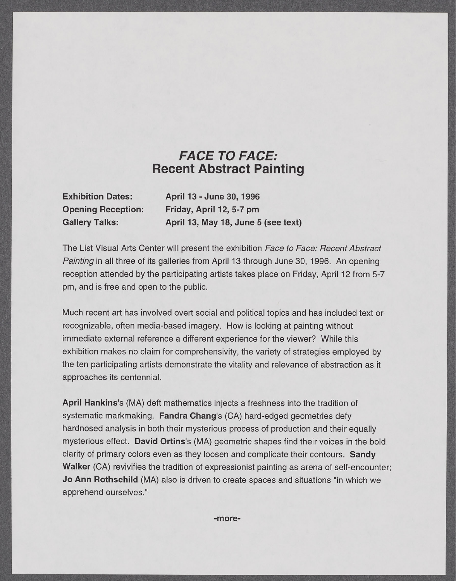## *FACE TO FACE:* **Recent Abstract Painting**

**Exhibition Dates: April 13 - June 30, 1996 Opening Reception: Friday, April 12, 5-7 pm** Gallery Talks: **April 13, May 18, June 5 (see text)** 

**The** List Visual Arts Center will present the exhibition *Face to Face: Recent Abstract Painting* in all three of its galleries from April **13** through June **30, 1996.** An opening reception attended **by** the participating artists takes place on Friday, April 12 from **5-7** pm, and is free and open to the public.

Much recent art has involved overt social and political topics and has included text or recognizable, often media-based imagery. How is looking at painting without immediate external reference a different experience for the viewer? While this exhibition makes no claim for comprehensivity, the variety of strategies employed **by** the ten participating artists demonstrate the vitality and relevance of abstraction as it approaches its centennial.

**April Hankins's** (MA) deft mathematics injects a freshness into the tradition of systematic markmaking. **Fandra Chang's (CA)** hard-edged geometries defy hardnosed analysis in both their mysterious process of production and their equally mysterious effect. David Ortins's (MA) geometric shapes find their voices in the bold clarity of primary colors even as they loosen and complicate their contours. **Sandy Walker (CA)** revivifies the tradition of expressionist painting as arena of self-encounter; **Jo Ann Rothschild** (MA) also is driven to create spaces and situations "in which we apprehend ourselves."

**-more-**